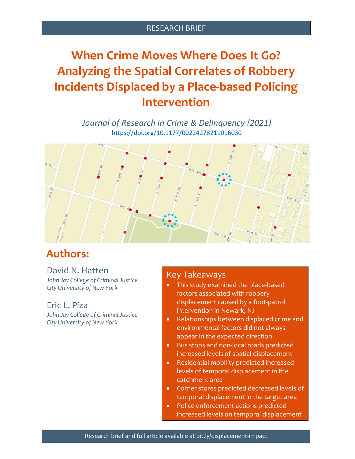#### RESEARCH BRIEF

# **When Crime Moves Where Does It Go? Analyzing the Spatial Correlates of Robbery Incidents Displaced by a Place-based Policing Intervention**

*Journal of Research in Crime & Delinquency (2021)* [https://doi.org/10.1177/00224278211016030](https://doi.org/10.1177%2F00224278211016030)



# **Authors:**

### David N. Hatten

*John Jay College of Criminal Justice City University of New York*

#### Eric L. Piza

*John Jay College of Criminal Justice City University of New York*

## Key Takeaways

- This study examined the place-based factors associated with robbery displacement caused by a foot-patrol intervention in Newark, NJ
- Relationships between displaced crime and environmental factors did not always appear in the expected direction
- Bus stops and non-local roads predicted increased levels of spatial displacement
- Residential mobility predicted increased levels of temporal displacement in the catchment area
- Corner stores predicted decreased levels of temporal displacement in the target area
- Police enforcement actions predicted increased levels on temporal displacement